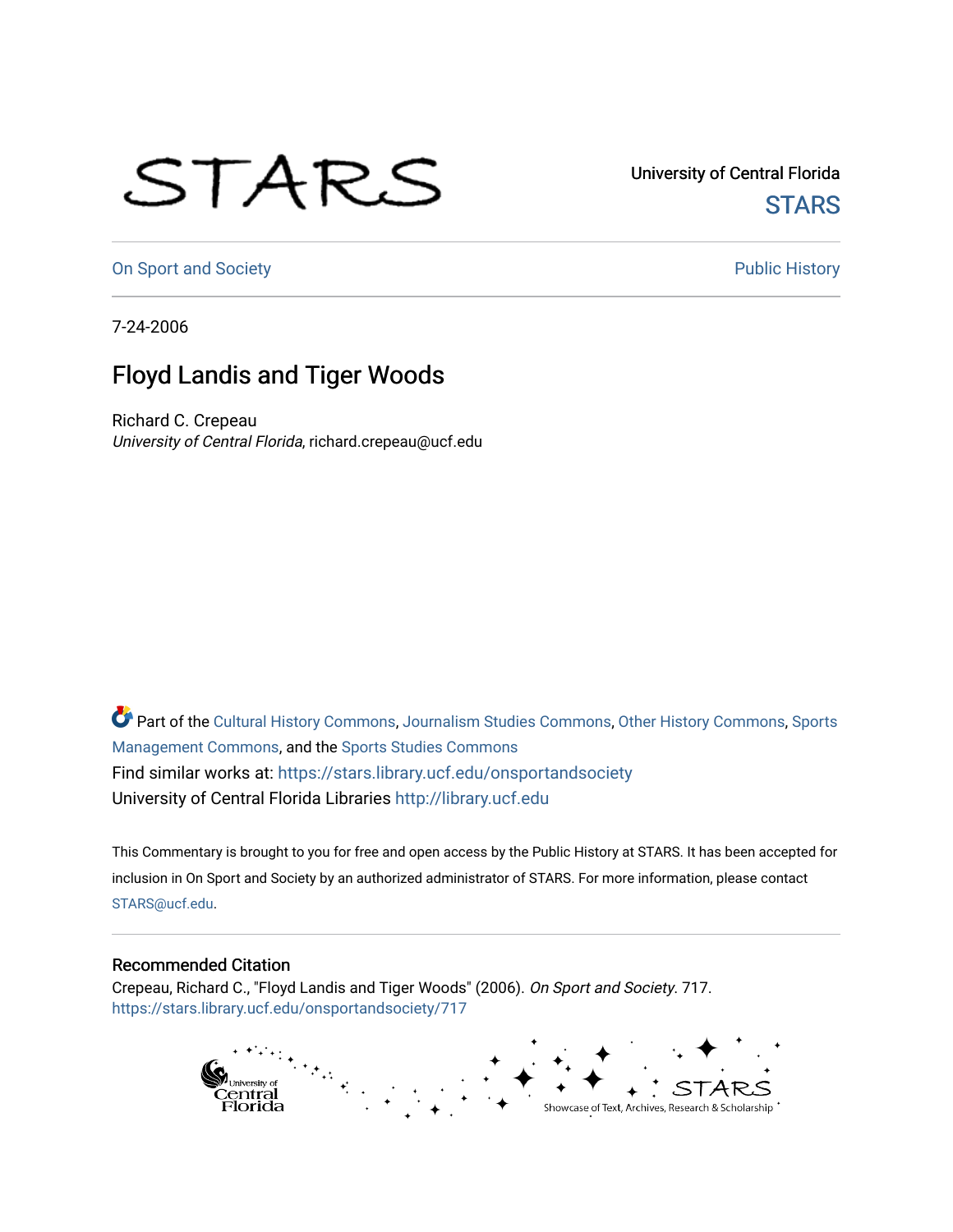## STARS

University of Central Florida **STARS** 

[On Sport and Society](https://stars.library.ucf.edu/onsportandsociety) **Public History** Public History

7-24-2006

## Floyd Landis and Tiger Woods

Richard C. Crepeau University of Central Florida, richard.crepeau@ucf.edu

Part of the [Cultural History Commons](http://network.bepress.com/hgg/discipline/496?utm_source=stars.library.ucf.edu%2Fonsportandsociety%2F717&utm_medium=PDF&utm_campaign=PDFCoverPages), [Journalism Studies Commons,](http://network.bepress.com/hgg/discipline/333?utm_source=stars.library.ucf.edu%2Fonsportandsociety%2F717&utm_medium=PDF&utm_campaign=PDFCoverPages) [Other History Commons,](http://network.bepress.com/hgg/discipline/508?utm_source=stars.library.ucf.edu%2Fonsportandsociety%2F717&utm_medium=PDF&utm_campaign=PDFCoverPages) [Sports](http://network.bepress.com/hgg/discipline/1193?utm_source=stars.library.ucf.edu%2Fonsportandsociety%2F717&utm_medium=PDF&utm_campaign=PDFCoverPages) [Management Commons](http://network.bepress.com/hgg/discipline/1193?utm_source=stars.library.ucf.edu%2Fonsportandsociety%2F717&utm_medium=PDF&utm_campaign=PDFCoverPages), and the [Sports Studies Commons](http://network.bepress.com/hgg/discipline/1198?utm_source=stars.library.ucf.edu%2Fonsportandsociety%2F717&utm_medium=PDF&utm_campaign=PDFCoverPages) Find similar works at: <https://stars.library.ucf.edu/onsportandsociety> University of Central Florida Libraries [http://library.ucf.edu](http://library.ucf.edu/) 

This Commentary is brought to you for free and open access by the Public History at STARS. It has been accepted for inclusion in On Sport and Society by an authorized administrator of STARS. For more information, please contact [STARS@ucf.edu](mailto:STARS@ucf.edu).

## Recommended Citation

Crepeau, Richard C., "Floyd Landis and Tiger Woods" (2006). On Sport and Society. 717. [https://stars.library.ucf.edu/onsportandsociety/717](https://stars.library.ucf.edu/onsportandsociety/717?utm_source=stars.library.ucf.edu%2Fonsportandsociety%2F717&utm_medium=PDF&utm_campaign=PDFCoverPages)

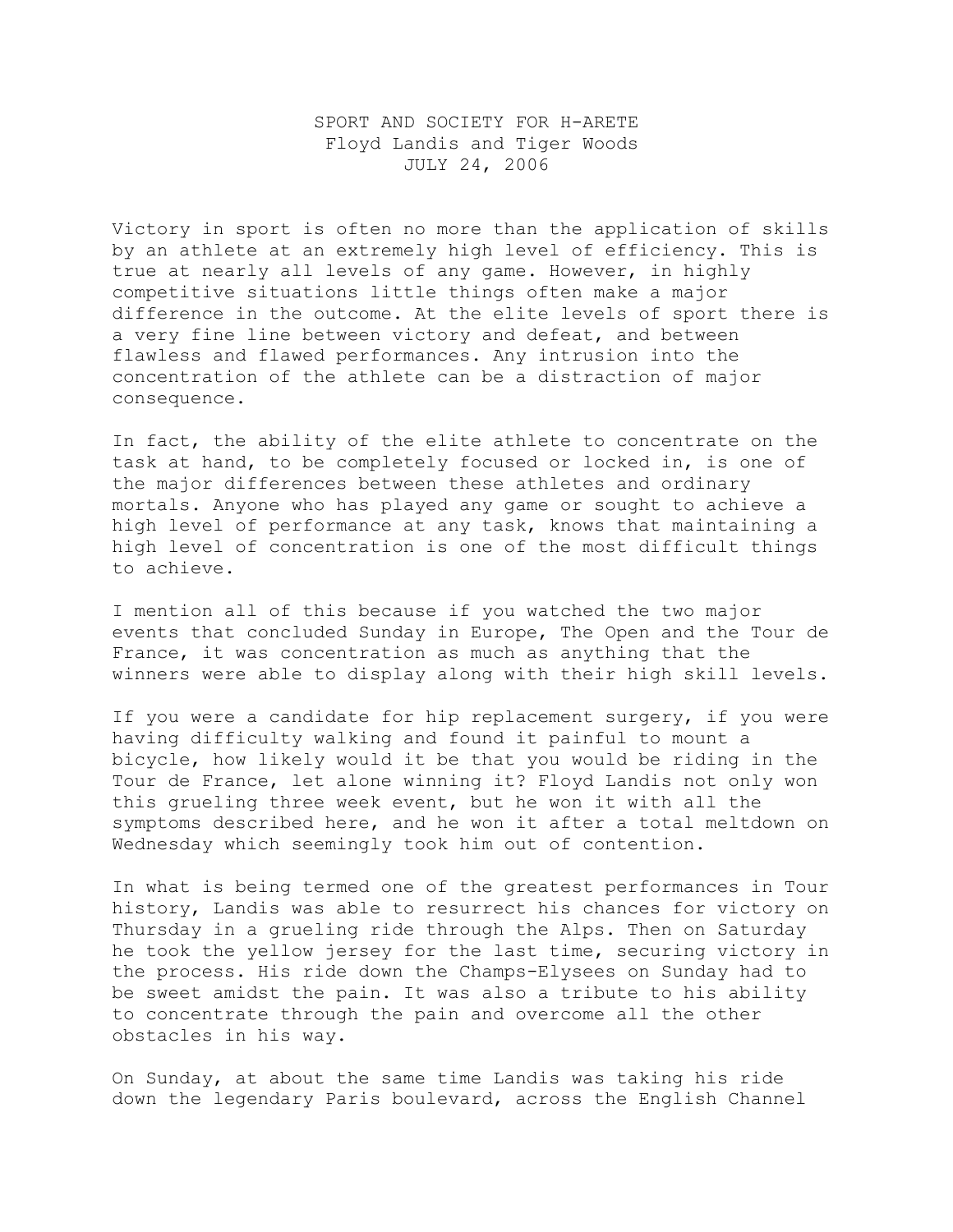## SPORT AND SOCIETY FOR H-ARETE Floyd Landis and Tiger Woods JULY 24, 2006

Victory in sport is often no more than the application of skills by an athlete at an extremely high level of efficiency. This is true at nearly all levels of any game. However, in highly competitive situations little things often make a major difference in the outcome. At the elite levels of sport there is a very fine line between victory and defeat, and between flawless and flawed performances. Any intrusion into the concentration of the athlete can be a distraction of major consequence.

In fact, the ability of the elite athlete to concentrate on the task at hand, to be completely focused or locked in, is one of the major differences between these athletes and ordinary mortals. Anyone who has played any game or sought to achieve a high level of performance at any task, knows that maintaining a high level of concentration is one of the most difficult things to achieve.

I mention all of this because if you watched the two major events that concluded Sunday in Europe, The Open and the Tour de France, it was concentration as much as anything that the winners were able to display along with their high skill levels.

If you were a candidate for hip replacement surgery, if you were having difficulty walking and found it painful to mount a bicycle, how likely would it be that you would be riding in the Tour de France, let alone winning it? Floyd Landis not only won this grueling three week event, but he won it with all the symptoms described here, and he won it after a total meltdown on Wednesday which seemingly took him out of contention.

In what is being termed one of the greatest performances in Tour history, Landis was able to resurrect his chances for victory on Thursday in a grueling ride through the Alps. Then on Saturday he took the yellow jersey for the last time, securing victory in the process. His ride down the Champs-Elysees on Sunday had to be sweet amidst the pain. It was also a tribute to his ability to concentrate through the pain and overcome all the other obstacles in his way.

On Sunday, at about the same time Landis was taking his ride down the legendary Paris boulevard, across the English Channel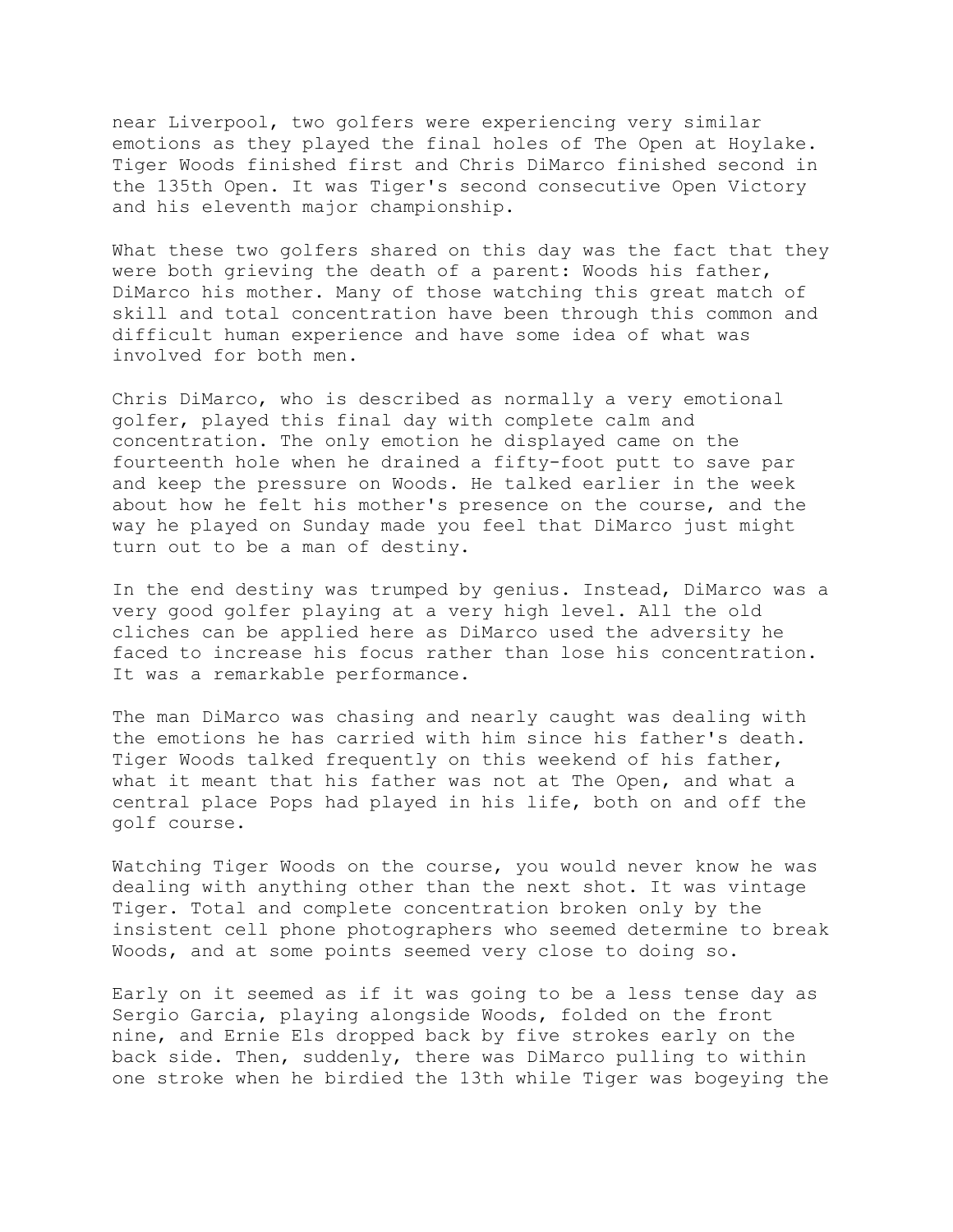near Liverpool, two golfers were experiencing very similar emotions as they played the final holes of The Open at Hoylake. Tiger Woods finished first and Chris DiMarco finished second in the 135th Open. It was Tiger's second consecutive Open Victory and his eleventh major championship.

What these two golfers shared on this day was the fact that they were both grieving the death of a parent: Woods his father, DiMarco his mother. Many of those watching this great match of skill and total concentration have been through this common and difficult human experience and have some idea of what was involved for both men.

Chris DiMarco, who is described as normally a very emotional golfer, played this final day with complete calm and concentration. The only emotion he displayed came on the fourteenth hole when he drained a fifty-foot putt to save par and keep the pressure on Woods. He talked earlier in the week about how he felt his mother's presence on the course, and the way he played on Sunday made you feel that DiMarco just might turn out to be a man of destiny.

In the end destiny was trumped by genius. Instead, DiMarco was a very good golfer playing at a very high level. All the old cliches can be applied here as DiMarco used the adversity he faced to increase his focus rather than lose his concentration. It was a remarkable performance.

The man DiMarco was chasing and nearly caught was dealing with the emotions he has carried with him since his father's death. Tiger Woods talked frequently on this weekend of his father, what it meant that his father was not at The Open, and what a central place Pops had played in his life, both on and off the golf course.

Watching Tiger Woods on the course, you would never know he was dealing with anything other than the next shot. It was vintage Tiger. Total and complete concentration broken only by the insistent cell phone photographers who seemed determine to break Woods, and at some points seemed very close to doing so.

Early on it seemed as if it was going to be a less tense day as Sergio Garcia, playing alongside Woods, folded on the front nine, and Ernie Els dropped back by five strokes early on the back side. Then, suddenly, there was DiMarco pulling to within one stroke when he birdied the 13th while Tiger was bogeying the